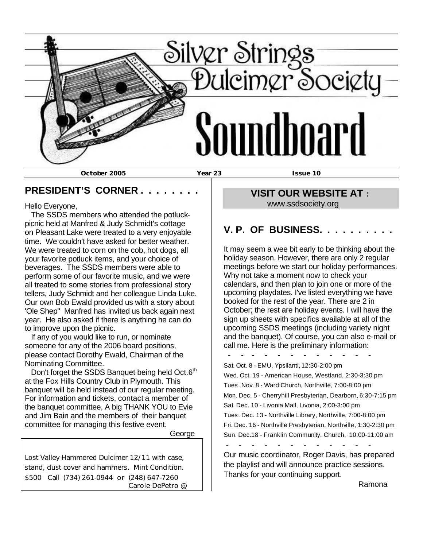

#### **PRESIDENT'S CORNER . . . . . . . .**

Hello Everyone,

 The SSDS members who attended the potluckpicnic held at Manfred & Judy Schmidt's cottage on Pleasant Lake were treated to a very enjoyable time. We couldn't have asked for better weather. We were treated to corn on the cob, hot dogs, all your favorite potluck items, and your choice of beverages. The SSDS members were able to perform some of our favorite music, and we were all treated to some stories from professional story tellers, Judy Schmidt and her colleague Linda Luke. Our own Bob Ewald provided us with a story about 'Ole Shep" Manfred has invited us back again next year. He also asked if there is anything he can do to improve upon the picnic.

 If any of you would like to run, or nominate someone for any of the 2006 board positions, please contact Dorothy Ewald, Chairman of the Nominating Committee.

Don't forget the SSDS Banquet being held Oct.6<sup>th</sup> at the Fox Hills Country Club in Plymouth. This banquet will be held instead of our regular meeting. For information and tickets, contact a member of the banquet committee, A big THANK YOU to Evie and Jim Bain and the members of their banquet committee for managing this festive event.

George

Lost Valley Hammered Dulcimer 12/11 with case, stand, dust cover and hammers. Mint Condition. \$500 Call (734) 261-0944 or (248) 647-7260 Carole DePetro @

# **VISIT OUR WEBSITE AT :**  www.ssdsociety.org

# **V. P. OF BUSINESS. . . . . . . . . .**

It may seem a wee bit early to be thinking about the holiday season. However, there are only 2 regular meetings before we start our holiday performances. Why not take a moment now to check your calendars, and then plan to join one or more of the upcoming playdates. I've listed everything we have booked for the rest of the year. There are 2 in October; the rest are holiday events. I will have the sign up sheets with specifics available at all of the upcoming SSDS meetings (including variety night and the banquet). Of course, you can also e-mail or call me. Here is the preliminary information:

 - - - - - - - - - - - - Sat. Oct. 8 - EMU, Ypsilanti, 12:30-2:00 pm Wed. Oct. 19 - American House, Westland, 2:30-3:30 pm Tues. Nov. 8 - Ward Church, Northville, 7:00-8:00 pm Mon. Dec. 5 - Cherryhill Presbyterian, Dearborn, 6:30-7:15 pm Sat. Dec. 10 - Livonia Mall, Livonia, 2:00-3:00 pm Tues. Dec. 13 - Northville Library, Northville, 7:00-8:00 pm Fri. Dec. 16 - Northville Presbyterian, Northville, 1:30-2:30 pm Sun. Dec.18 - Franklin Community. Church, 10:00-11:00 am - - - - - - - - - - - -

Our music coordinator, Roger Davis, has prepared the playlist and will announce practice sessions. Thanks for your continuing support.

Ramona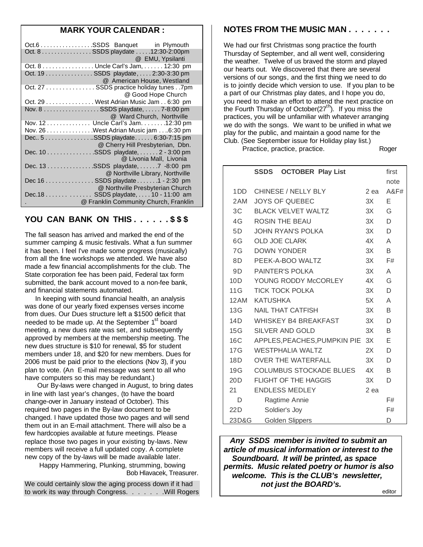## **MARK YOUR CALENDAR :**

| Oct.6 SSDS Banquet in Plymouth          |                                  |
|-----------------------------------------|----------------------------------|
| Oct. 8 SSDS playdate 12:30-2:00pm       |                                  |
|                                         | @ EMU, Ypsilanti                 |
| Oct. 8 Uncle Carl's Jam, 12:30 pm       |                                  |
| Oct. 19 SSDS playdate, 2:30-3:30 pm     |                                  |
|                                         | @ American House, Westland       |
| Oct. 27 SSDS practice holiday tunes 7pm |                                  |
|                                         | @ Good Hope Church               |
| Oct. 29 West Adrian Music Jam 6:30 pm   |                                  |
| Nov. 8  SSDS playdate,  7-8:00 pm       |                                  |
|                                         | @ Ward Church, Northville        |
| Nov. 12 Uncle Carl's Jam. 12:30 pm      |                                  |
| Nov. 26 West Adrian Music jam 6:30 pm   |                                  |
| Dec 5 SSDS playdate 6:30-7:15 pm        |                                  |
| @ Cherry Hill Presbyterian, Dbn.        |                                  |
| Dec. 10 SSDS playdate, 2 - 3:00 pm      |                                  |
|                                         | @ Livonia Mall, Livonia          |
| Dec. 13 SSDS playdate, 7 -8:00 pm       |                                  |
|                                         | @ Northville Library, Northville |
| Dec 16  SSDS playdate 1 - 2:30 pm       |                                  |
|                                         | @ Northville Presbyterian Church |
| Dec.18 SSDS playdate,  10 - 11:00 am    |                                  |
| @ Franklin Community Church, Franklin   |                                  |
|                                         |                                  |

#### **YOU CAN BANK ON THIS . . . . . . \$ \$ \$**

The fall season has arrived and marked the end of the summer camping & music festivals. What a fun summer it has been. I feel I've made some progress (musically) from all the fine workshops we attended. We have also made a few financial accomplishments for the club. The State corporation fee has been paid, Federal tax form submitted, the bank account moved to a non-fee bank, and financial statements automated.

 In keeping with sound financial health, an analysis was done of our yearly fixed expenses verses income from dues. Our Dues structure left a \$1500 deficit that needed to be made up. At the September  $1<sup>st</sup>$  board meeting, a new dues rate was set, and subsequently approved by members at the membership meeting. The new dues structure is \$10 for renewal, \$5 for student members under 18, and \$20 for new members. Dues for 2006 must be paid prior to the elections (Nov 3), if you plan to vote. (An E-mail message was sent to all who have computers so this may be redundant.)

 Our By-laws were changed in August, to bring dates in line with last year's changes, (to have the board change-over in January instead of October). This required two pages in the By-law document to be changed. I have updated those two pages and will send them out in an E-mail attachment. There will also be a few hardcopies available at future meetings. Please replace those two pages in your existing by-laws. New members will receive a full updated copy. A complete new copy of the by-laws will be made available later. Happy Hammering, Plunking, strumming, bowing

Bob Hlavacek, Treasurer.

We could certainly slow the aging process down if it had to work its way through Congress. . . . . . . . Will Rogers

#### **NOTES FROM THE MUSIC MAN . . . . . . .**

We had our first Christmas song practice the fourth Thursday of September, and all went well, considering the weather. Twelve of us braved the storm and played our hearts out. We discovered that there are several versions of our songs, and the first thing we need to do is to jointly decide which version to use. If you plan to be a part of our Christmas play dates, and I hope you do, you need to make an effort to attend the next practice on the Fourth Thursday of October $(27<sup>th</sup>)$ . If you miss the practices, you will be unfamiliar with whatever arranging we do with the songs. We want to be unified in what we play for the public, and maintain a good name for the Club. (See September issue for Holiday play list.)

Practice, practice, practice. The Roger

|       | <b>SSDS OCTOBER Play List</b>  |      | first |
|-------|--------------------------------|------|-------|
|       |                                |      | note  |
|       | 1DD CHINESE / NELLY BLY        | 2 ea | A&F#  |
| 2AM   | <b>JOYS OF QUEBEC</b>          | 3X   | Е     |
| 3C    | <b>BLACK VELVET WALTZ</b>      | 3X   | G     |
| 4G —  | <b>ROSIN THE BEAU</b>          | 3X   | D     |
| 5D    | JOHN RYAN'S POLKA              | 3X   | D.    |
| 6G –  | <b>OLD JOE CLARK</b>           | 4X   | A     |
| 7G —  | <b>DOWN YONDER</b>             | 3X   | B     |
| 8D -  | PEEK-A-BOO WALTZ               | 3X   | F#    |
| 9D    | <b>PAINTER'S POLKA</b>         | 3X   | A     |
| 10D   | YOUNG RODDY McCORLEY 4X        |      | G     |
| 11G   | <b>TICK TOCK POLKA</b>         | 3X   | D     |
| 12AM  | <b>KATUSHKA</b>                | 5X   | A     |
| 13G   | NAIL THAT CATFISH              | 3X   | B     |
| 14D   | WHISKEY B4 BREAKFAST           | 3X   | D     |
| 15G   | SILVER AND GOLD                | 3X   | B     |
| 16C   | APPLES, PEACHES, PUMPKIN PIE   | 3X   | E     |
| 17G   | <b>WESTPHALIA WALTZ</b>        | 2X   | D     |
| 18D - | <b>OVER THE WATERFALL</b>      | 3X   | D     |
| 19G   | <b>COLUMBUS STOCKADE BLUES</b> | 4X — | B     |
| 20D   | FLIGHT OF THE HAGGIS           | 3X   | D     |
| 21    | <b>ENDLESS MEDLEY</b>          | 2 ea |       |
| D     | Ragtime Annie                  |      | F#    |
| 22D   | Soldier's Joy                  |      | F#    |
| 23D&G | <b>Golden Slippers</b>         |      | D     |

 *Any SSDS member is invited to submit an article of musical information or interest to the Soundboard. It will be printed, as space permits. Music related poetry or humor is also welcome. This is the CLUB's newsletter, not just the BOARD's.*

editor and the contract of the contract of the contract of the contract of the contract of the contract of the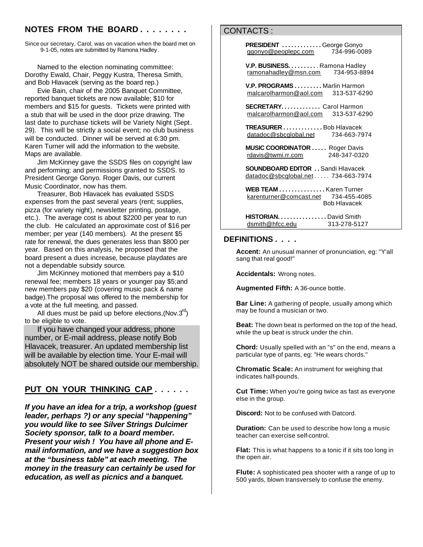## **NOTES FROM THE BOARD . . . . . . . .**

Since our secretary, Carol, was on vacation when the board met on 9-1-05, notes are submitted by Ramona Hadley.

 Named to the election nominating committee: Dorothy Ewald, Chair, Peggy Kustra, Theresa Smith, and Bob Hlavacek (serving as the board rep.)

 Evie Bain, chair of the 2005 Banquet Committee, reported banquet tickets are now available; \$10 for members and \$15 for guests. Tickets were printed with a stub that will be used in the door prize drawing. The last date to purchase tickets will be Variety Night (Sept. 29). This will be strictly a social event; no club business will be conducted. Dinner will be served at 6:30 pm. Karen Turner will add the information to the website. Maps are available.

 Jim McKinney gave the SSDS files on copyright law and performing; and permissions granted to SSDS. to President George Gonyo. Roger Davis, our current Music Coordinator, now has them.

 Treasurer, Bob Hlavacek has evaluated SSDS expenses from the past several years (rent; supplies, pizza (for variety night), newsletter printing, postage, etc.). The average cost is about \$2200 per year to run the club. He calculated an approximate cost of \$16 per member; per year (140 members). At the present \$5 rate for renewal, the dues generates less than \$800 per year. Based on this analysis, he proposed that the board present a dues increase, because playdates are not a dependable subsidy source.

 Jim McKinney motioned that members pay a \$10 renewal fee; members 18 years or younger pay \$5;and new members pay \$20 (covering music pack & name badge).The proposal was offered to the membership for a vote at the full meeting, and passed.

All dues must be paid up before elections, (Nov. $3^{\text{rd}}$ ) to be eligible to vote.

 If you have changed your address, phone number, or E-mail address, please notify Bob Hlavacek, treasurer. An updated membership list will be available by election time. Your E-mail will absolutely NOT be shared outside our membership.

# **PUT ON YOUR THINKING CAP . . . . . .**

*If you have an idea for a trip, a workshop (guest leader, perhaps ?) or any special "happening" you would like to see Silver Strings Dulcimer Society sponsor, talk to a board member. Present your wish ! You have all phone and Email information, and we have a suggestion box at the "business table" at each meeting. The money in the treasury can certainly be used for education, as well as picnics and a banquet.*

## CONTACTS :

**PRESIDENT** ............George Gonyo<br>qaonyo@peoplepc.com 734-996-0089 ggonyo@peoplepc.com

**V.P. BUSINESS. . . . . . . . . . . Ramona Hadley**<br>ramonahadley@msn.com 734-953-8894 ramonahadley@msn.com

 **V.P. PROGRAMS . . . . . . . . .** Marlin Harmon malcarolharmon@aol.com 313-537-6290

 **SECRETARY. . . . . . . . . . . . .** Carol Harmon malcarolharmon@aol.com 313-537-6290

 **TREASURER . . . . . . . . . . . . .** Bob Hlavacek datadoc@sbcglobal.net 734-663-7974

 **MUSIC COORDINATOR . . . . .** Roger Davis rdavis@twmi.rr.com 248-347-0320

 **SOUNDBOARD EDITOR . .** Sandi Hlavacek datadoc@sbcglobal.net . . . . . 734-663-7974

 **WEB TEAM . . . . . . . . . . . . . . .** Karen Turner karenturner@comcast.net 734-455-4085 Bob Hlavacek

 **HISTORIAN. . . . . . . . . . . . . . . .** David Smith dsmith@hfcc.edu 313-278-5127

#### **DEFINITIONS . . . .**

**Accent:** An unusual manner of pronunciation, eg: "Y'all sang that real good!"

**Accidentals:** Wrong notes.

**Augmented Fifth:** A 36-ounce bottle.

**Bar Line:** A gathering of people, usually among which may be found a musician or two.

**Beat:** The down beat is performed on the top of the head, while the up beat is struck under the chin.

**Chord:** Usually spelled with an "s" on the end, means a particular type of pants, eg: "He wears chords."

**Chromatic Scale:** An instrument for weighing that indicates half-pounds.

**Cut Time:** When you're going twice as fast as everyone else in the group.

**Discord:** Not to be confused with Datcord.

**Duration:** Can be used to describe how long a music teacher can exercise self-control.

**Flat:** This is what happens to a tonic if it sits too long in the open air.

**Flute:** A sophisticated pea shooter with a range of up to 500 yards, blown transversely to confuse the enemy.